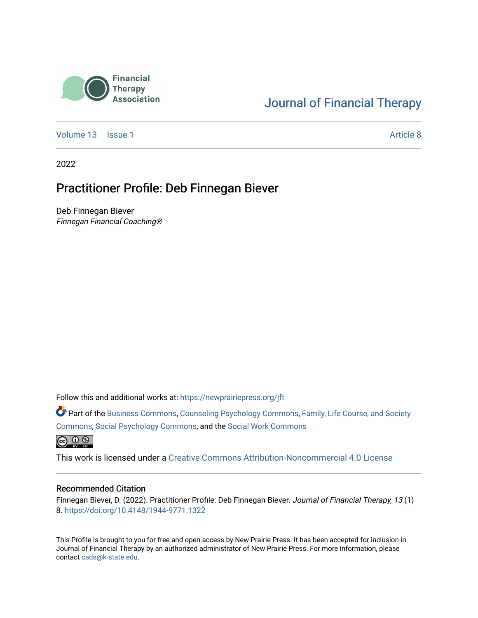

# [Journal of Financial Therapy](https://newprairiepress.org/jft)

[Volume 13](https://newprairiepress.org/jft/vol13) | [Issue 1](https://newprairiepress.org/jft/vol13/iss1) Article 8

2022

# Practitioner Profile: Deb Finnegan Biever

Deb Finnegan Biever Finnegan Financial Coaching®

Follow this and additional works at: [https://newprairiepress.org/jft](https://newprairiepress.org/jft?utm_source=newprairiepress.org%2Fjft%2Fvol13%2Fiss1%2F8&utm_medium=PDF&utm_campaign=PDFCoverPages)

Part of the [Business Commons](https://network.bepress.com/hgg/discipline/622?utm_source=newprairiepress.org%2Fjft%2Fvol13%2Fiss1%2F8&utm_medium=PDF&utm_campaign=PDFCoverPages), [Counseling Psychology Commons,](https://network.bepress.com/hgg/discipline/1044?utm_source=newprairiepress.org%2Fjft%2Fvol13%2Fiss1%2F8&utm_medium=PDF&utm_campaign=PDFCoverPages) [Family, Life Course, and Society](https://network.bepress.com/hgg/discipline/419?utm_source=newprairiepress.org%2Fjft%2Fvol13%2Fiss1%2F8&utm_medium=PDF&utm_campaign=PDFCoverPages)  [Commons](https://network.bepress.com/hgg/discipline/419?utm_source=newprairiepress.org%2Fjft%2Fvol13%2Fiss1%2F8&utm_medium=PDF&utm_campaign=PDFCoverPages), [Social Psychology Commons,](https://network.bepress.com/hgg/discipline/414?utm_source=newprairiepress.org%2Fjft%2Fvol13%2Fiss1%2F8&utm_medium=PDF&utm_campaign=PDFCoverPages) and the [Social Work Commons](https://network.bepress.com/hgg/discipline/713?utm_source=newprairiepress.org%2Fjft%2Fvol13%2Fiss1%2F8&utm_medium=PDF&utm_campaign=PDFCoverPages) 

 $\bigcirc$   $\bigcirc$   $\bigcirc$ 

This work is licensed under a [Creative Commons Attribution-Noncommercial 4.0 License](https://creativecommons.org/licenses/by-nc/4.0/)

#### Recommended Citation

Finnegan Biever, D. (2022). Practitioner Profile: Deb Finnegan Biever. Journal of Financial Therapy, 13 (1) 8. <https://doi.org/10.4148/1944-9771.1322>

This Profile is brought to you for free and open access by New Prairie Press. It has been accepted for inclusion in Journal of Financial Therapy by an authorized administrator of New Prairie Press. For more information, please contact [cads@k-state.edu](mailto:cads@k-state.edu).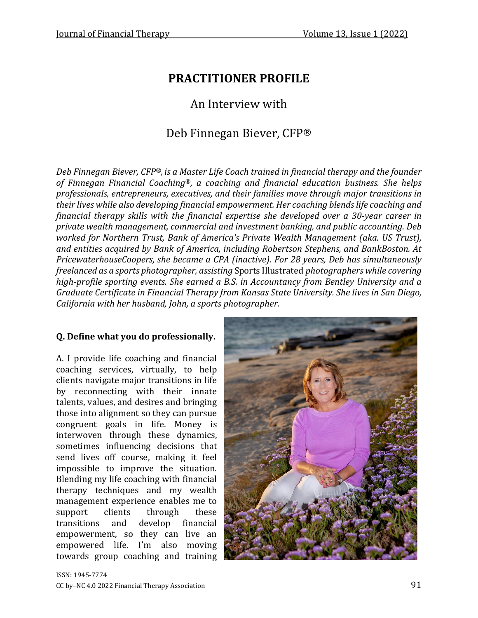# **PRACTITIONER PROFILE**

# An Interview with

# Deb Finnegan Biever, CFP®

*Deb Finnegan Biever, CFP®, is a Master Life Coach trained in financial therapy and the founder of Finnegan Financial Coaching®, a coaching and financial education business. She helps professionals, entrepreneurs, executives, and their families move through major transitions in their lives while also developing financial empowerment. Her coaching blendslife coaching and financial therapy skills with the financial expertise she developed over a 30-year career in private wealth management, commercial and investment banking, and public accounting. Deb worked for Northern Trust, Bank of America's Private Wealth Management (aka. US Trust), and entities acquired by Bank of America, including Robertson Stephens, and BankBoston. At PricewaterhouseCoopers, she became a CPA (inactive). For 28 years, Deb has simultaneously freelanced as a sports photographer, assisting* Sports Illustrated *photographers while covering high-profile sporting events. She earned a B.S. in Accountancy from Bentley University and a Graduate Certificate in Financial Therapy from Kansas State University. She lives in San Diego, California with her husband, John, a sports photographer.*

### **Q. Define what you do professionally.**

A. I provide life coaching and financial coaching services, virtually, to help clients navigate major transitions in life by reconnecting with their innate talents, values, and desires and bringing those into alignment so they can pursue congruent goals in life. Money is interwoven through these dynamics, sometimes influencing decisions that send lives off course, making it feel impossible to improve the situation. Blending my life coaching with financial therapy techniques and my wealth management experience enables me to support clients through these transitions and develop financial empowerment, so they can live an empowered life. I'm also moving towards group coaching and training

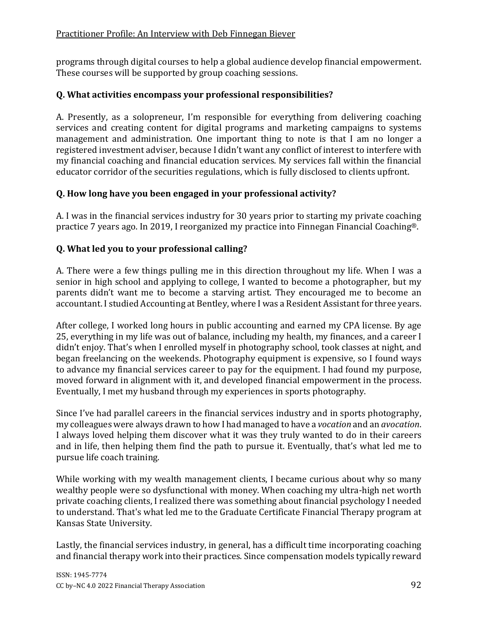programs through digital courses to help a global audience develop financial empowerment. These courses will be supported by group coaching sessions.

### **Q. What activities encompass your professional responsibilities?**

A. Presently, as a solopreneur, I'm responsible for everything from delivering coaching services and creating content for digital programs and marketing campaigns to systems management and administration. One important thing to note is that I am no longer a registered investment adviser, because I didn't want any conflict of interest to interfere with my financial coaching and financial education services. My services fall within the financial educator corridor of the securities regulations, which is fully disclosed to clients upfront.

# **Q. How long have you been engaged in your professional activity?**

A. I was in the financial services industry for 30 years prior to starting my private coaching practice 7 years ago. In 2019, I reorganized my practice into Finnegan Financial Coaching®.

# **Q. What led you to your professional calling?**

A. There were a few things pulling me in this direction throughout my life. When I was a senior in high school and applying to college, I wanted to become a photographer, but my parents didn't want me to become a starving artist. They encouraged me to become an accountant. I studied Accounting at Bentley, where I was a Resident Assistant for three years.

After college, I worked long hours in public accounting and earned my CPA license. By age 25, everything in my life was out of balance, including my health, my finances, and a career I didn't enjoy. That's when I enrolled myself in photography school, took classes at night, and began freelancing on the weekends. Photography equipment is expensive, so I found ways to advance my financial services career to pay for the equipment. I had found my purpose, moved forward in alignment with it, and developed financial empowerment in the process. Eventually, I met my husband through my experiences in sports photography.

Since I've had parallel careers in the financial services industry and in sports photography, my colleagues were always drawn to how I had managed to have a *vocation* and an *avocation*. I always loved helping them discover what it was they truly wanted to do in their careers and in life, then helping them find the path to pursue it. Eventually, that's what led me to pursue life coach training.

While working with my wealth management clients, I became curious about why so many wealthy people were so dysfunctional with money. When coaching my ultra-high net worth private coaching clients, I realized there was something about financial psychology I needed to understand. That's what led me to the Graduate Certificate Financial Therapy program at Kansas State University.

Lastly, the financial services industry, in general, has a difficult time incorporating coaching and financial therapy work into their practices. Since compensation models typically reward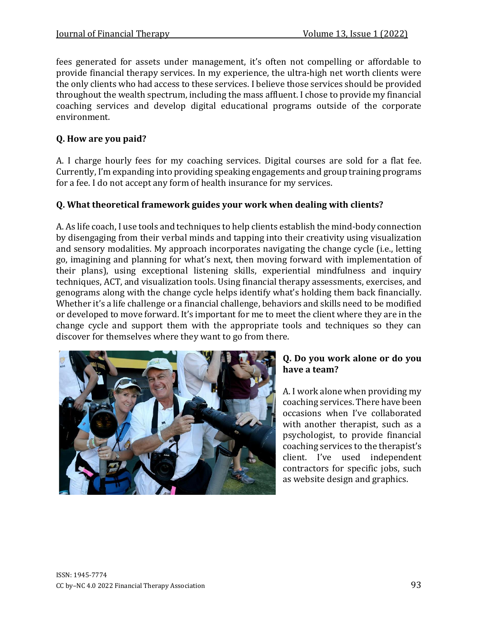fees generated for assets under management, it's often not compelling or affordable to provide financial therapy services. In my experience, the ultra-high net worth clients were the only clients who had access to these services. I believe those services should be provided throughout the wealth spectrum, including the mass affluent. I chose to provide my financial coaching services and develop digital educational programs outside of the corporate environment.

# **Q. How are you paid?**

A. I charge hourly fees for my coaching services. Digital courses are sold for a flat fee. Currently, I'm expanding into providing speaking engagements and group training programs for a fee. I do not accept any form of health insurance for my services.

# **Q. What theoretical framework guides your work when dealing with clients?**

A. As life coach, I use tools and techniques to help clients establish the mind-body connection by disengaging from their verbal minds and tapping into their creativity using visualization and sensory modalities. My approach incorporates navigating the change cycle (i.e., letting go, imagining and planning for what's next, then moving forward with implementation of their plans), using exceptional listening skills, experiential mindfulness and inquiry techniques, ACT, and visualization tools. Using financial therapy assessments, exercises, and genograms along with the change cycle helps identify what's holding them back financially. Whether it's a life challenge or a financial challenge, behaviors and skills need to be modified or developed to move forward. It's important for me to meet the client where they are in the change cycle and support them with the appropriate tools and techniques so they can discover for themselves where they want to go from there.



# **Q. Do you work alone or do you have a team?**

A. I work alone when providing my coaching services. There have been occasions when I've collaborated with another therapist, such as a psychologist, to provide financial coaching services to the therapist's client. I've used independent contractors for specific jobs, such as website design and graphics.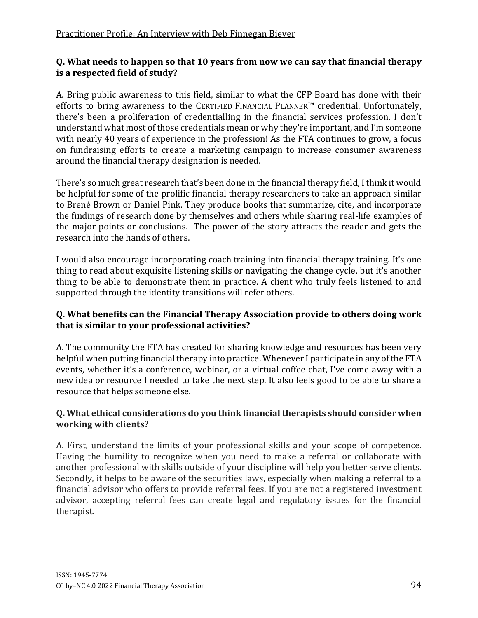### **Q. What needs to happen so that 10 years from now we can say that financial therapy is a respected field of study?**

A. Bring public awareness to this field, similar to what the CFP Board has done with their efforts to bring awareness to the CERTIFIED FINANCIAL PLANNER™ credential. Unfortunately, there's been a proliferation of credentialling in the financial services profession. I don't understand what most of those credentials mean or why they're important, and I'm someone with nearly 40 years of experience in the profession! As the FTA continues to grow, a focus on fundraising efforts to create a marketing campaign to increase consumer awareness around the financial therapy designation is needed.

There's so much great research that's been done in the financial therapy field, Ithink it would be helpful for some of the prolific financial therapy researchers to take an approach similar to Brené Brown or Daniel Pink. They produce books that summarize, cite, and incorporate the findings of research done by themselves and others while sharing real-life examples of the major points or conclusions. The power of the story attracts the reader and gets the research into the hands of others.

I would also encourage incorporating coach training into financial therapy training. It's one thing to read about exquisite listening skills or navigating the change cycle, but it's another thing to be able to demonstrate them in practice. A client who truly feels listened to and supported through the identity transitions will refer others.

### **Q. What benefits can the Financial Therapy Association provide to others doing work that is similar to your professional activities?**

A. The community the FTA has created for sharing knowledge and resources has been very helpful when putting financial therapy into practice. Whenever I participate in any of the FTA events, whether it's a conference, webinar, or a virtual coffee chat, I've come away with a new idea or resource I needed to take the next step. It also feels good to be able to share a resource that helps someone else.

#### **Q. What ethical considerations do you think financial therapists should consider when working with clients?**

A. First, understand the limits of your professional skills and your scope of competence. Having the humility to recognize when you need to make a referral or collaborate with another professional with skills outside of your discipline will help you better serve clients. Secondly, it helps to be aware of the securities laws, especially when making a referral to a financial advisor who offers to provide referral fees. If you are not a registered investment advisor, accepting referral fees can create legal and regulatory issues for the financial therapist.